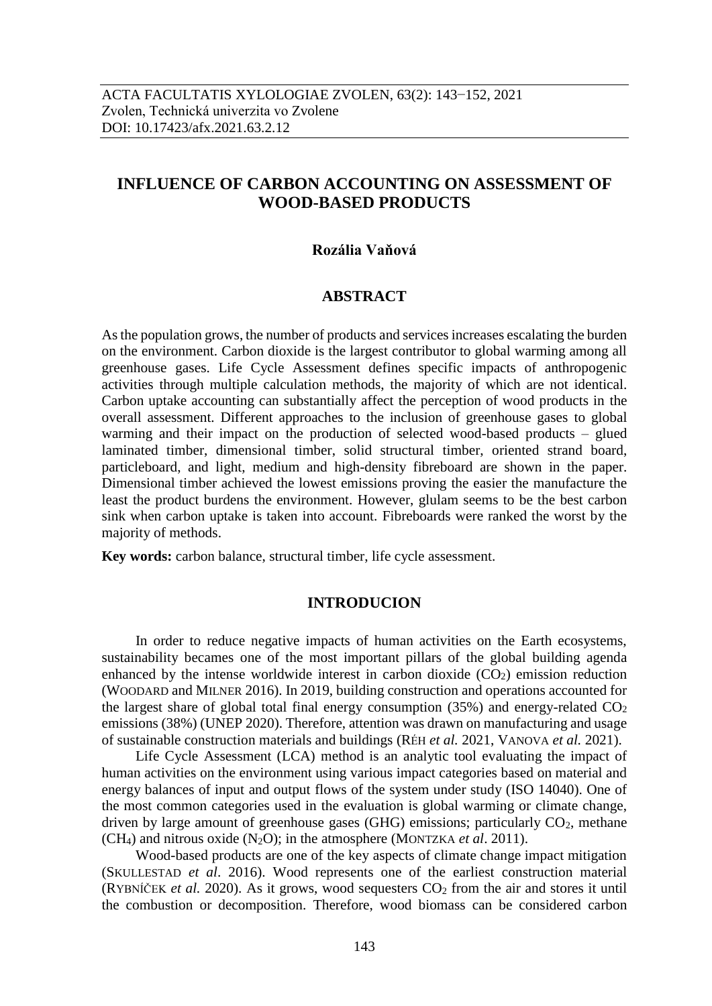# **INFLUENCE OF CARBON ACCOUNTING ON ASSESSMENT OF WOOD-BASED PRODUCTS**

### **Rozália Vaňová**

# **ABSTRACT**

As the population grows, the number of products and services increases escalating the burden on the environment. Carbon dioxide is the largest contributor to global warming among all greenhouse gases. Life Cycle Assessment defines specific impacts of anthropogenic activities through multiple calculation methods, the majority of which are not identical. Carbon uptake accounting can substantially affect the perception of wood products in the overall assessment. Different approaches to the inclusion of greenhouse gases to global warming and their impact on the production of selected wood-based products – glued laminated timber, dimensional timber, solid structural timber, oriented strand board, particleboard, and light, medium and high-density fibreboard are shown in the paper. Dimensional timber achieved the lowest emissions proving the easier the manufacture the least the product burdens the environment. However, glulam seems to be the best carbon sink when carbon uptake is taken into account. Fibreboards were ranked the worst by the majority of methods.

**Key words:** carbon balance, structural timber, life cycle assessment.

#### **INTRODUCION**

In order to reduce negative impacts of human activities on the Earth ecosystems, sustainability becames one of the most important pillars of the global building agenda enhanced by the intense worldwide interest in carbon dioxide  $(CO<sub>2</sub>)$  emission reduction (WOODARD and MILNER 2016). In 2019, building construction and operations accounted for the largest share of global total final energy consumption  $(35%)$  and energy-related  $CO<sub>2</sub>$ emissions (38%) (UNEP 2020). Therefore, attention was drawn on manufacturing and usage of sustainable construction materials and buildings (RÉH *et al.* 2021, VANOVA *et al.* 2021).

Life Cycle Assessment (LCA) method is an analytic tool evaluating the impact of human activities on the environment using various impact categories based on material and energy balances of input and output flows of the system under study (ISO 14040). One of the most common categories used in the evaluation is global warming or climate change, driven by large amount of greenhouse gases (GHG) emissions; particularly  $CO<sub>2</sub>$ , methane (CH4) and nitrous oxide (N2O); in the atmosphere (MONTZKA *et al*. 2011).

Wood-based products are one of the key aspects of climate change impact mitigation (SKULLESTAD *et al*. 2016). Wood represents one of the earliest construction material (RYBNÍČEK *et al.* 2020). As it grows, wood sequesters  $CO_2$  from the air and stores it until the combustion or decomposition. Therefore, wood biomass can be considered carbon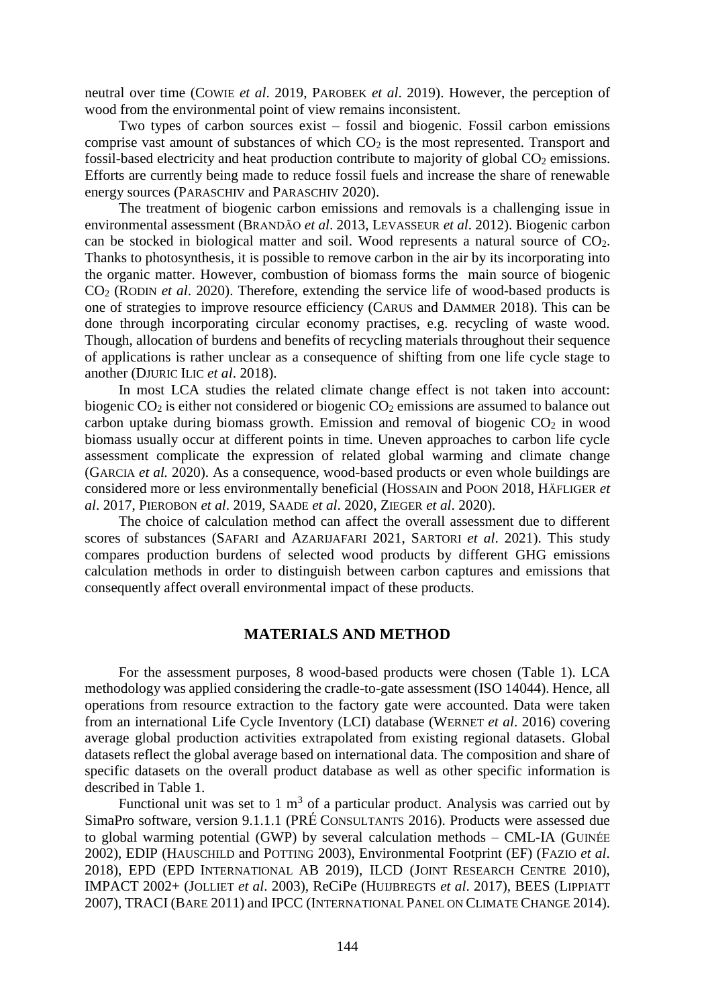neutral over time (COWIE *et al*. 2019, PAROBEK *et al*. 2019). However, the perception of wood from the environmental point of view remains inconsistent.

Two types of carbon sources exist – fossil and biogenic. Fossil carbon emissions comprise vast amount of substances of which  $CO<sub>2</sub>$  is the most represented. Transport and fossil-based electricity and heat production contribute to majority of global  $CO<sub>2</sub>$  emissions. Efforts are currently being made to reduce fossil fuels and increase the share of renewable energy sources (PARASCHIV and PARASCHIV 2020).

The treatment of biogenic carbon emissions and removals is a challenging issue in environmental assessment (BRANDÃO *et al*. 2013, LEVASSEUR *et al*. 2012). Biogenic carbon can be stocked in biological matter and soil. Wood represents a natural source of CO2. Thanks to photosynthesis, it is possible to remove carbon in the air by its incorporating into the organic matter. However, combustion of biomass forms the main source of biogenic CO<sup>2</sup> (RODIN *et al*. 2020). Therefore, extending the service life of wood-based products is one of strategies to improve resource efficiency (CARUS and DAMMER 2018). This can be done through incorporating circular economy practises, e.g. recycling of waste wood. Though, allocation of burdens and benefits of recycling materials throughout their sequence of applications is rather unclear as a consequence of shifting from one life cycle stage to another (DJURIC ILIC *et al*. 2018).

In most LCA studies the related climate change effect is not taken into account: biogenic CO<sub>2</sub> is either not considered or biogenic CO<sub>2</sub> emissions are assumed to balance out carbon uptake during biomass growth. Emission and removal of biogenic  $CO<sub>2</sub>$  in wood biomass usually occur at different points in time. Uneven approaches to carbon life cycle assessment complicate the expression of related global warming and climate change (GARCIA *et al.* 2020). As a consequence, wood-based products or even whole buildings are considered more or less environmentally beneficial (HOSSAIN and POON 2018, HÄFLIGER *et al*. 2017, PIEROBON *et al*. 2019, SAADE *et al*. 2020, ZIEGER *et al*. 2020).

The choice of calculation method can affect the overall assessment due to different scores of substances (SAFARI and AZARIJAFARI 2021, SARTORI *et al*. 2021). This study compares production burdens of selected wood products by different GHG emissions calculation methods in order to distinguish between carbon captures and emissions that consequently affect overall environmental impact of these products.

### **MATERIALS AND METHOD**

For the assessment purposes, 8 wood-based products were chosen (Table 1). LCA methodology was applied considering the cradle-to-gate assessment (ISO 14044). Hence, all operations from resource extraction to the factory gate were accounted. Data were taken from an international Life Cycle Inventory (LCI) database (WERNET *et al*. 2016) covering average global production activities extrapolated from existing regional datasets. Global datasets reflect the global average based on international data. The composition and share of specific datasets on the overall product database as well as other specific information is described in Table 1.

Functional unit was set to 1  $m<sup>3</sup>$  of a particular product. Analysis was carried out by SimaPro software, version 9.1.1.1 (PRÉ CONSULTANTS 2016). Products were assessed due to global warming potential (GWP) by several calculation methods – CML-IA (GUINÉE 2002), EDIP (HAUSCHILD and POTTING 2003), Environmental Footprint (EF) (FAZIO *et al*. 2018), EPD (EPD INTERNATIONAL AB 2019), ILCD (JOINT RESEARCH CENTRE 2010), IMPACT 2002+ (JOLLIET *et al*. 2003), ReCiPe (HUIJBREGTS *et al*. 2017), BEES (LIPPIATT 2007), TRACI (BARE 2011) and IPCC (INTERNATIONAL PANEL ON CLIMATE CHANGE 2014).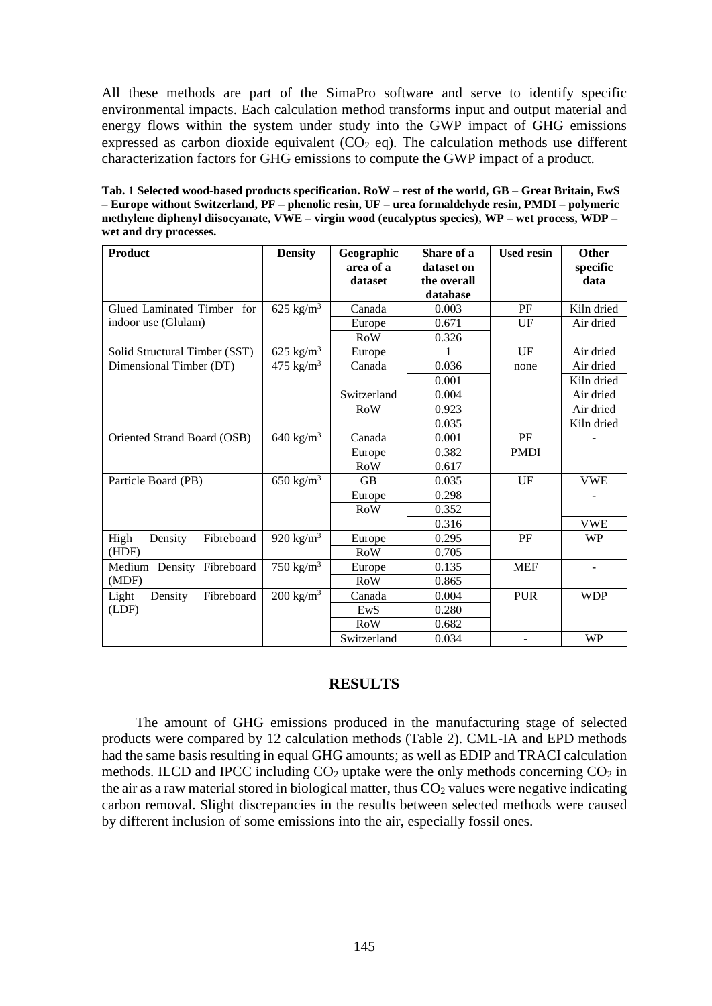All these methods are part of the SimaPro software and serve to identify specific environmental impacts. Each calculation method transforms input and output material and energy flows within the system under study into the GWP impact of GHG emissions expressed as carbon dioxide equivalent  $(CO<sub>2</sub> eq)$ . The calculation methods use different characterization factors for GHG emissions to compute the GWP impact of a product.

**Tab. 1 Selected wood-based products specification. RoW – rest of the world, GB – Great Britain, EwS – Europe without Switzerland, PF – phenolic resin, UF – urea formaldehyde resin, PMDI – polymeric methylene diphenyl diisocyanate, VWE – virgin wood (eucalyptus species), WP – wet process, WDP – wet and dry processes.**

| <b>Product</b>                 | <b>Density</b>           | Geographic<br>area of a<br>dataset | Share of a<br>dataset on<br>the overall<br>database | <b>Used resin</b> | Other<br>specific<br>data    |
|--------------------------------|--------------------------|------------------------------------|-----------------------------------------------------|-------------------|------------------------------|
| Glued Laminated Timber for     | 625 kg/ $m^3$            | Canada                             | 0.003                                               | PF                | Kiln dried                   |
| indoor use (Glulam)            |                          | Europe                             | 0.671                                               | UF                | Air dried                    |
|                                |                          | <b>RoW</b>                         | 0.326                                               |                   |                              |
| Solid Structural Timber (SST)  | 625 kg/ $m^3$            | Europe                             | 1                                                   | UF                | Air dried                    |
| Dimensional Timber (DT)        | 475 $\text{kg/m}^3$      | Canada                             | 0.036                                               | none              | Air dried                    |
|                                |                          |                                    | 0.001                                               |                   | Kiln dried                   |
|                                |                          | Switzerland                        | 0.004                                               |                   | Air dried                    |
|                                |                          | RoW                                | 0.923                                               |                   | Air dried                    |
|                                |                          |                                    | 0.035                                               |                   | Kiln dried                   |
| Oriented Strand Board (OSB)    | 640 kg/ $m3$             | Canada                             | 0.001                                               | PF                |                              |
|                                |                          | Europe                             | 0.382                                               | <b>PMDI</b>       |                              |
|                                |                          | <b>RoW</b>                         | 0.617                                               |                   |                              |
| Particle Board (PB)            | 650 kg/ $\overline{m^3}$ | <b>GB</b>                          | 0.035                                               | UF                | <b>VWE</b>                   |
|                                |                          | Europe                             | 0.298                                               |                   |                              |
|                                |                          | <b>RoW</b>                         | 0.352                                               |                   |                              |
|                                |                          |                                    | 0.316                                               |                   | <b>VWE</b>                   |
| Fibreboard<br>High<br>Density  | 920 kg/ $m^3$            | Europe                             | 0.295                                               | PF                | <b>WP</b>                    |
| (HDF)                          |                          | RoW                                | 0.705                                               |                   |                              |
| Medium Density<br>Fibreboard   | 750 kg/ $m^3$            | Europe                             | 0.135                                               | <b>MEF</b>        | $\qquad \qquad \blacksquare$ |
| (MDF)                          |                          | <b>RoW</b>                         | 0.865                                               |                   |                              |
| Fibreboard<br>Light<br>Density | $200 \text{ kg/m}^3$     | Canada                             | 0.004                                               | <b>PUR</b>        | <b>WDP</b>                   |
| (LDF)                          |                          | EwS                                | 0.280                                               |                   |                              |
|                                |                          | <b>RoW</b>                         | 0.682                                               |                   |                              |
|                                |                          | Switzerland                        | 0.034                                               |                   | <b>WP</b>                    |

# **RESULTS**

The amount of GHG emissions produced in the manufacturing stage of selected products were compared by 12 calculation methods (Table 2). CML-IA and EPD methods had the same basis resulting in equal GHG amounts; as well as EDIP and TRACI calculation methods. ILCD and IPCC including  $CO<sub>2</sub>$  uptake were the only methods concerning  $CO<sub>2</sub>$  in the air as a raw material stored in biological matter, thus  $CO<sub>2</sub>$  values were negative indicating carbon removal. Slight discrepancies in the results between selected methods were caused by different inclusion of some emissions into the air, especially fossil ones.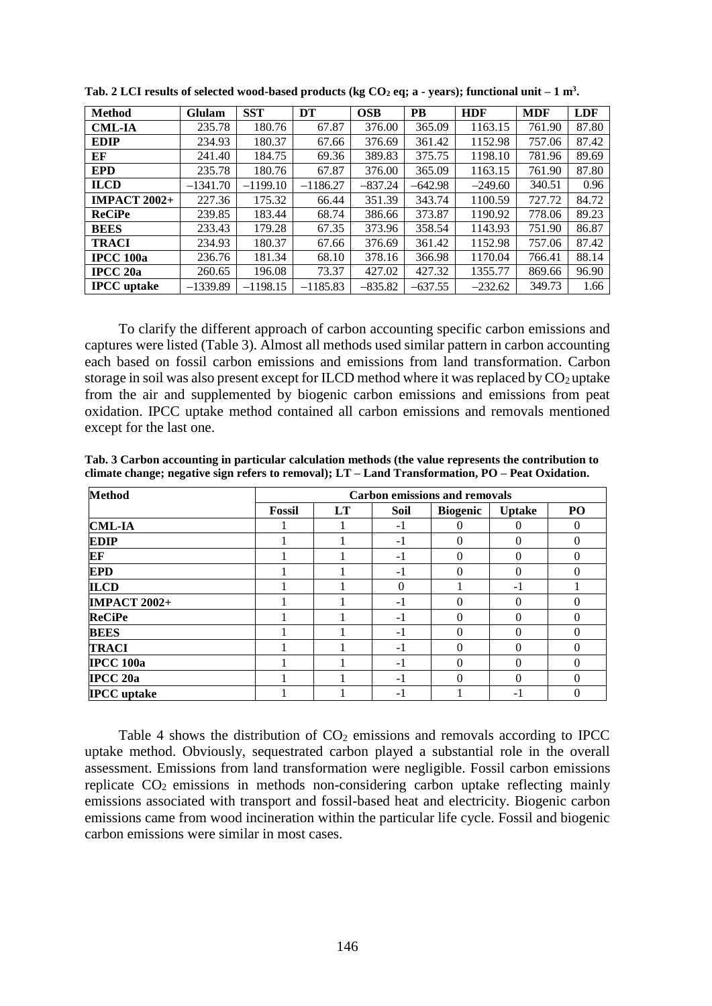| <b>Method</b>       | Glulam     | <b>SST</b> | DT         | <b>OSB</b> | <b>PB</b> | <b>HDF</b> | <b>MDF</b> | LDF   |
|---------------------|------------|------------|------------|------------|-----------|------------|------------|-------|
| <b>CML-IA</b>       | 235.78     | 180.76     | 67.87      | 376.00     | 365.09    | 1163.15    | 761.90     | 87.80 |
| <b>EDIP</b>         | 234.93     | 180.37     | 67.66      | 376.69     | 361.42    | 1152.98    | 757.06     | 87.42 |
| EF                  | 241.40     | 184.75     | 69.36      | 389.83     | 375.75    | 1198.10    | 781.96     | 89.69 |
| <b>EPD</b>          | 235.78     | 180.76     | 67.87      | 376.00     | 365.09    | 1163.15    | 761.90     | 87.80 |
| <b>ILCD</b>         | $-1341.70$ | $-1199.10$ | $-1186.27$ | $-837.24$  | $-642.98$ | $-249.60$  | 340.51     | 0.96  |
| <b>IMPACT 2002+</b> | 227.36     | 175.32     | 66.44      | 351.39     | 343.74    | 1100.59    | 727.72     | 84.72 |
| <b>ReCiPe</b>       | 239.85     | 183.44     | 68.74      | 386.66     | 373.87    | 1190.92    | 778.06     | 89.23 |
| <b>BEES</b>         | 233.43     | 179.28     | 67.35      | 373.96     | 358.54    | 1143.93    | 751.90     | 86.87 |
| <b>TRACI</b>        | 234.93     | 180.37     | 67.66      | 376.69     | 361.42    | 1152.98    | 757.06     | 87.42 |
| <b>IPCC</b> 100a    | 236.76     | 181.34     | 68.10      | 378.16     | 366.98    | 1170.04    | 766.41     | 88.14 |
| <b>IPCC 20a</b>     | 260.65     | 196.08     | 73.37      | 427.02     | 427.32    | 1355.77    | 869.66     | 96.90 |
| <b>IPCC</b> uptake  | $-1339.89$ | $-1198.15$ | $-1185.83$ | $-835.82$  | $-637.55$ | $-232.62$  | 349.73     | 1.66  |

**Tab. 2 LCI results of selected wood-based products (kg CO<sup>2</sup> eq; a - years); functional unit – 1 m<sup>3</sup> .**

To clarify the different approach of carbon accounting specific carbon emissions and captures were listed (Table 3). Almost all methods used similar pattern in carbon accounting each based on fossil carbon emissions and emissions from land transformation. Carbon storage in soil was also present except for ILCD method where it was replaced by  $CO<sub>2</sub>$  uptake from the air and supplemented by biogenic carbon emissions and emissions from peat oxidation. IPCC uptake method contained all carbon emissions and removals mentioned except for the last one.

**Tab. 3 Carbon accounting in particular calculation methods (the value represents the contribution to climate change; negative sign refers to removal); LT – Land Transformation, PO – Peat Oxidation.**

| <b>Method</b>       | <b>Carbon emissions and removals</b> |           |          |                 |               |          |
|---------------------|--------------------------------------|-----------|----------|-----------------|---------------|----------|
|                     | Fossil                               | <b>LT</b> | Soil     | <b>Biogenic</b> | <b>Uptake</b> | PO       |
| <b>CML-IA</b>       |                                      |           | $-1$     | $\Omega$        |               | 0        |
| <b>EDIP</b>         |                                      |           | $-1$     | 0               | 0             |          |
| EF                  |                                      |           | -1       | 0               | 0             | 0        |
| <b>EPD</b>          |                                      |           | $-1$     | 0               | 0             | 0        |
| <b>ILCD</b>         |                                      |           | $\Omega$ |                 | -1            |          |
| <b>IMPACT 2002+</b> |                                      |           | $-1$     | 0               | 0             | 0        |
| <b>ReCiPe</b>       |                                      |           | $-1$     | 0               |               |          |
| <b>BEES</b>         |                                      |           | $-1$     | 0               | 0             | $\Omega$ |
| <b>TRACI</b>        |                                      |           | $-1$     | 0               | 0             | 0        |
| <b>IPCC 100a</b>    |                                      |           | $-1$     | 0               | 0             | 0        |
| <b>IPCC 20a</b>     |                                      |           | $-1$     | 0               | 0             | 0        |
| <b>IPCC</b> uptake  |                                      |           | - 1      |                 | -1            | 0        |

Table 4 shows the distribution of  $CO<sub>2</sub>$  emissions and removals according to IPCC uptake method. Obviously, sequestrated carbon played a substantial role in the overall assessment. Emissions from land transformation were negligible. Fossil carbon emissions replicate CO2 emissions in methods non-considering carbon uptake reflecting mainly emissions associated with transport and fossil-based heat and electricity. Biogenic carbon emissions came from wood incineration within the particular life cycle. Fossil and biogenic carbon emissions were similar in most cases.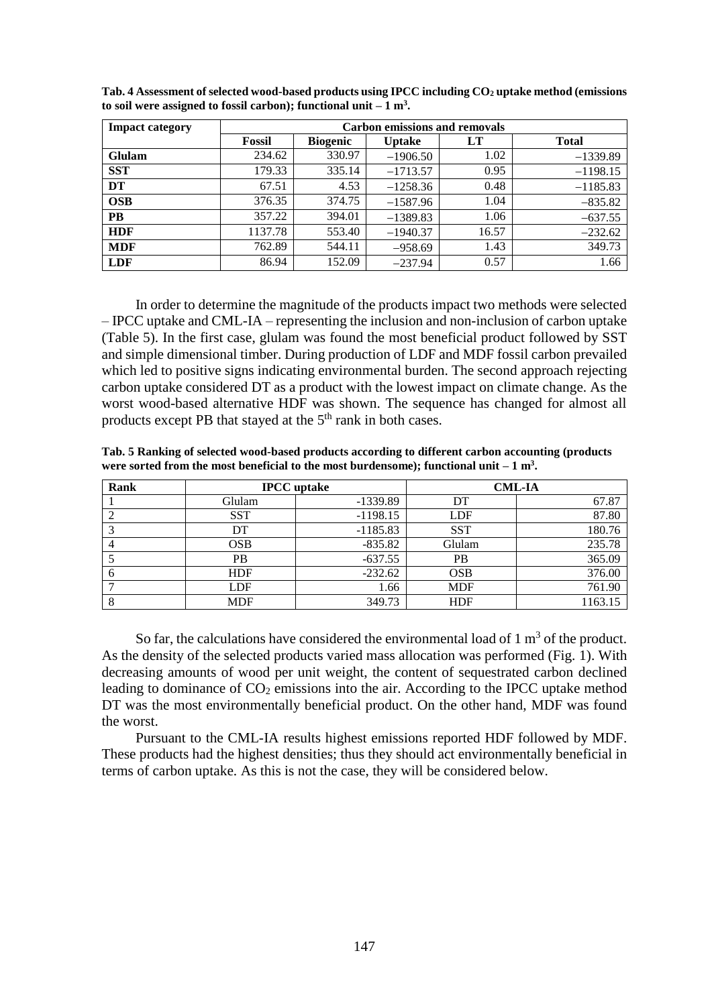| <b>Impact category</b> | <b>Carbon emissions and removals</b> |                 |               |       |              |  |
|------------------------|--------------------------------------|-----------------|---------------|-------|--------------|--|
|                        | Fossil                               | <b>Biogenic</b> | <b>Uptake</b> | LT    | <b>Total</b> |  |
| <b>Glulam</b>          | 234.62                               | 330.97          | $-1906.50$    | 1.02  | $-1339.89$   |  |
| <b>SST</b>             | 179.33                               | 335.14          | $-1713.57$    | 0.95  | $-1198.15$   |  |
| DT                     | 67.51                                | 4.53            | $-1258.36$    | 0.48  | $-1185.83$   |  |
| <b>OSB</b>             | 376.35                               | 374.75          | $-1587.96$    | 1.04  | $-835.82$    |  |
| <b>PB</b>              | 357.22                               | 394.01          | $-1389.83$    | 1.06  | $-637.55$    |  |
| <b>HDF</b>             | 1137.78                              | 553.40          | $-1940.37$    | 16.57 | $-232.62$    |  |
| <b>MDF</b>             | 762.89                               | 544.11          | $-958.69$     | 1.43  | 349.73       |  |
| <b>LDF</b>             | 86.94                                | 152.09          | $-237.94$     | 0.57  | 1.66         |  |

**Tab. 4 Assessment of selected wood-based products using IPCC including CO<sup>2</sup> uptake method (emissions to soil were assigned to fossil carbon); functional unit – 1 m<sup>3</sup> .**

In order to determine the magnitude of the products impact two methods were selected – IPCC uptake and CML-IA – representing the inclusion and non-inclusion of carbon uptake (Table 5). In the first case, glulam was found the most beneficial product followed by SST and simple dimensional timber. During production of LDF and MDF fossil carbon prevailed which led to positive signs indicating environmental burden. The second approach rejecting carbon uptake considered DT as a product with the lowest impact on climate change. As the worst wood-based alternative HDF was shown. The sequence has changed for almost all products except PB that stayed at the 5<sup>th</sup> rank in both cases.

**Tab. 5 Ranking of selected wood-based products according to different carbon accounting (products**  were sorted from the most beneficial to the most burdensome); functional unit  $-1$  m<sup>3</sup>.

| Rank |            | <b>IPCC</b> uptake |            | <b>CML-IA</b> |
|------|------------|--------------------|------------|---------------|
|      | Glulam     | $-1339.89$         | DT         | 67.87         |
|      | <b>SST</b> | $-1198.15$         | LDF        | 87.80         |
|      | DT         | $-1185.83$         | <b>SST</b> | 180.76        |
|      | OSB        | $-835.82$          | Glulam     | 235.78        |
|      | <b>PB</b>  | $-637.55$          | <b>PB</b>  | 365.09        |
|      | <b>HDF</b> | $-232.62$          | <b>OSB</b> | 376.00        |
|      | <b>LDF</b> | 1.66               | <b>MDF</b> | 761.90        |
|      | <b>MDF</b> | 349.73             | <b>HDF</b> | 1163.15       |

So far, the calculations have considered the environmental load of  $1 \text{ m}^3$  of the product. As the density of the selected products varied mass allocation was performed (Fig. 1). With decreasing amounts of wood per unit weight, the content of sequestrated carbon declined leading to dominance of  $CO<sub>2</sub>$  emissions into the air. According to the IPCC uptake method DT was the most environmentally beneficial product. On the other hand, MDF was found the worst.

Pursuant to the CML-IA results highest emissions reported HDF followed by MDF. These products had the highest densities; thus they should act environmentally beneficial in terms of carbon uptake. As this is not the case, they will be considered below.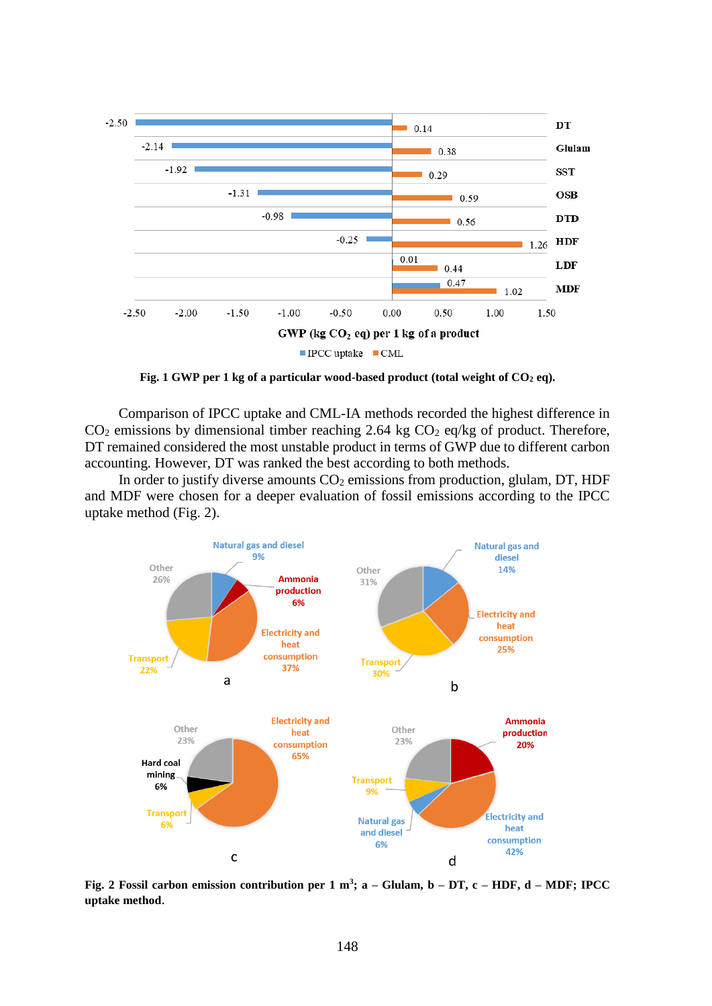

**Fig. 1 GWP per 1 kg of a particular wood-based product (total weight of CO<sup>2</sup> eq).**

Comparison of IPCC uptake and CML-IA methods recorded the highest difference in  $CO<sub>2</sub>$  emissions by dimensional timber reaching 2.64 kg  $CO<sub>2</sub>$  eq/kg of product. Therefore, DT remained considered the most unstable product in terms of GWP due to different carbon accounting. However, DT was ranked the best according to both methods.

In order to justify diverse amounts  $CO<sub>2</sub>$  emissions from production, glulam, DT, HDF and MDF were chosen for a deeper evaluation of fossil emissions according to the IPCC uptake method (Fig. 2).



**Fig. 2 Fossil carbon emission contribution per 1 m<sup>3</sup> ; a – Glulam, b – DT, c – HDF, d – MDF; IPCC uptake method**.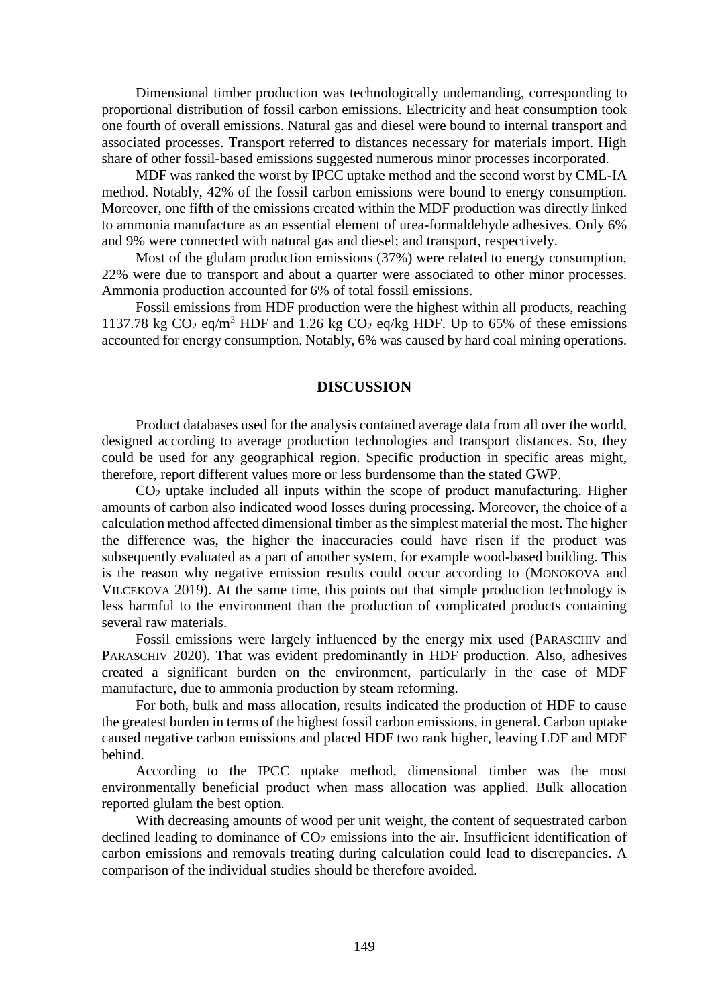Dimensional timber production was technologically undemanding, corresponding to proportional distribution of fossil carbon emissions. Electricity and heat consumption took one fourth of overall emissions. Natural gas and diesel were bound to internal transport and associated processes. Transport referred to distances necessary for materials import. High share of other fossil-based emissions suggested numerous minor processes incorporated.

MDF was ranked the worst by IPCC uptake method and the second worst by CML-IA method. Notably, 42% of the fossil carbon emissions were bound to energy consumption. Moreover, one fifth of the emissions created within the MDF production was directly linked to ammonia manufacture as an essential element of urea-formaldehyde adhesives. Only 6% and 9% were connected with natural gas and diesel; and transport, respectively.

Most of the glulam production emissions (37%) were related to energy consumption, 22% were due to transport and about a quarter were associated to other minor processes. Ammonia production accounted for 6% of total fossil emissions.

Fossil emissions from HDF production were the highest within all products, reaching 1137.78 kg  $CO_2$  eq/m<sup>3</sup> HDF and 1.26 kg  $CO_2$  eq/kg HDF. Up to 65% of these emissions accounted for energy consumption. Notably, 6% was caused by hard coal mining operations.

# **DISCUSSION**

Product databases used for the analysis contained average data from all over the world, designed according to average production technologies and transport distances. So, they could be used for any geographical region. Specific production in specific areas might, therefore, report different values more or less burdensome than the stated GWP.

CO<sup>2</sup> uptake included all inputs within the scope of product manufacturing. Higher amounts of carbon also indicated wood losses during processing. Moreover, the choice of a calculation method affected dimensional timber as the simplest material the most. The higher the difference was, the higher the inaccuracies could have risen if the product was subsequently evaluated as a part of another system, for example wood-based building. This is the reason why negative emission results could occur according to (MONOKOVA and VILCEKOVA 2019). At the same time, this points out that simple production technology is less harmful to the environment than the production of complicated products containing several raw materials.

Fossil emissions were largely influenced by the energy mix used (PARASCHIV and PARASCHIV 2020). That was evident predominantly in HDF production. Also, adhesives created a significant burden on the environment, particularly in the case of MDF manufacture, due to ammonia production by steam reforming.

For both, bulk and mass allocation, results indicated the production of HDF to cause the greatest burden in terms of the highest fossil carbon emissions, in general. Carbon uptake caused negative carbon emissions and placed HDF two rank higher, leaving LDF and MDF behind.

According to the IPCC uptake method, dimensional timber was the most environmentally beneficial product when mass allocation was applied. Bulk allocation reported glulam the best option.

With decreasing amounts of wood per unit weight, the content of sequestrated carbon declined leading to dominance of  $CO<sub>2</sub>$  emissions into the air. Insufficient identification of carbon emissions and removals treating during calculation could lead to discrepancies. A comparison of the individual studies should be therefore avoided.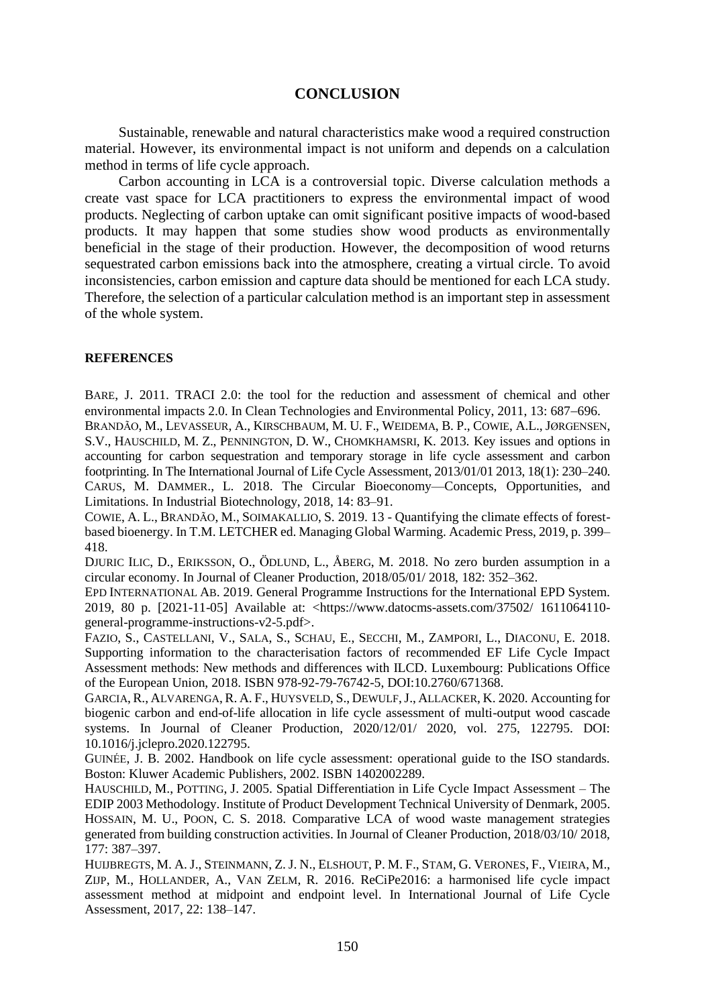### **CONCLUSION**

Sustainable, renewable and natural characteristics make wood a required construction material. However, its environmental impact is not uniform and depends on a calculation method in terms of life cycle approach.

Carbon accounting in LCA is a controversial topic. Diverse calculation methods a create vast space for LCA practitioners to express the environmental impact of wood products. Neglecting of carbon uptake can omit significant positive impacts of wood-based products. It may happen that some studies show wood products as environmentally beneficial in the stage of their production. However, the decomposition of wood returns sequestrated carbon emissions back into the atmosphere, creating a virtual circle. To avoid inconsistencies, carbon emission and capture data should be mentioned for each LCA study. Therefore, the selection of a particular calculation method is an important step in assessment of the whole system.

#### **REFERENCES**

BARE, J. 2011. TRACI 2.0: the tool for the reduction and assessment of chemical and other environmental impacts 2.0. In Clean Technologies and Environmental Policy, 2011, 13: 687–696.

BRANDÃO, M., LEVASSEUR, A., KIRSCHBAUM, M. U. F., WEIDEMA, B. P., COWIE, A.L., JØRGENSEN, S.V., HAUSCHILD, M. Z., PENNINGTON, D. W., CHOMKHAMSRI, K. 2013. Key issues and options in accounting for carbon sequestration and temporary storage in life cycle assessment and carbon footprinting. In The International Journal of Life Cycle Assessment, 2013/01/01 2013, 18(1): 230–240. CARUS, M. DAMMER., L. 2018. The Circular Bioeconomy—Concepts, Opportunities, and Limitations. In Industrial Biotechnology, 2018, 14: 83–91.

COWIE, A. L., BRANDÃO, M., SOIMAKALLIO, S. 2019. 13 - Quantifying the climate effects of forestbased bioenergy. In T.M. LETCHER ed. Managing Global Warming. Academic Press, 2019, p. 399– 418.

DJURIC ILIC, D., ERIKSSON, O., ÖDLUND, L., ÅBERG, M. 2018. No zero burden assumption in a circular economy. In Journal of Cleaner Production, 2018/05/01/ 2018, 182: 352–362.

EPD INTERNATIONAL AB. 2019. General Programme Instructions for the International EPD System. 2019, 80 p. [2021-11-05] Available at: <https://www.datocms-assets.com/37502/ 1611064110 general-programme-instructions-v2-5.pdf>.

FAZIO, S., CASTELLANI, V., SALA, S., SCHAU, E., SECCHI, M., ZAMPORI, L., DIACONU, E. 2018. Supporting information to the characterisation factors of recommended EF Life Cycle Impact Assessment methods: New methods and differences with ILCD. Luxembourg: Publications Office of the European Union, 2018. ISBN 978-92-79-76742-5, DOI:10.2760/671368.

GARCIA, R., ALVARENGA, R. A. F., HUYSVELD, S., DEWULF,J., ALLACKER, K. 2020. Accounting for biogenic carbon and end-of-life allocation in life cycle assessment of multi-output wood cascade systems. In Journal of Cleaner Production, 2020/12/01/ 2020, vol. 275, 122795. DOI: 10.1016/j.jclepro.2020.122795.

GUINÉE, J. B. 2002. Handbook on life cycle assessment: operational guide to the ISO standards. Boston: Kluwer Academic Publishers, 2002. ISBN 1402002289.

HAUSCHILD, M., POTTING, J. 2005. Spatial Differentiation in Life Cycle Impact Assessment – The EDIP 2003 Methodology. Institute of Product Development Technical University of Denmark, 2005. HOSSAIN, M. U., POON, C. S. 2018. Comparative LCA of wood waste management strategies generated from building construction activities. In Journal of Cleaner Production, 2018/03/10/ 2018, 177: 387–397.

HUIJBREGTS, M. A. J., STEINMANN, Z. J. N., ELSHOUT, P. M. F., STAM, G. VERONES, F., VIEIRA, M., ZIJP, M., HOLLANDER, A., VAN ZELM, R. 2016. ReCiPe2016: a harmonised life cycle impact assessment method at midpoint and endpoint level. In International Journal of Life Cycle Assessment, 2017, 22: 138–147.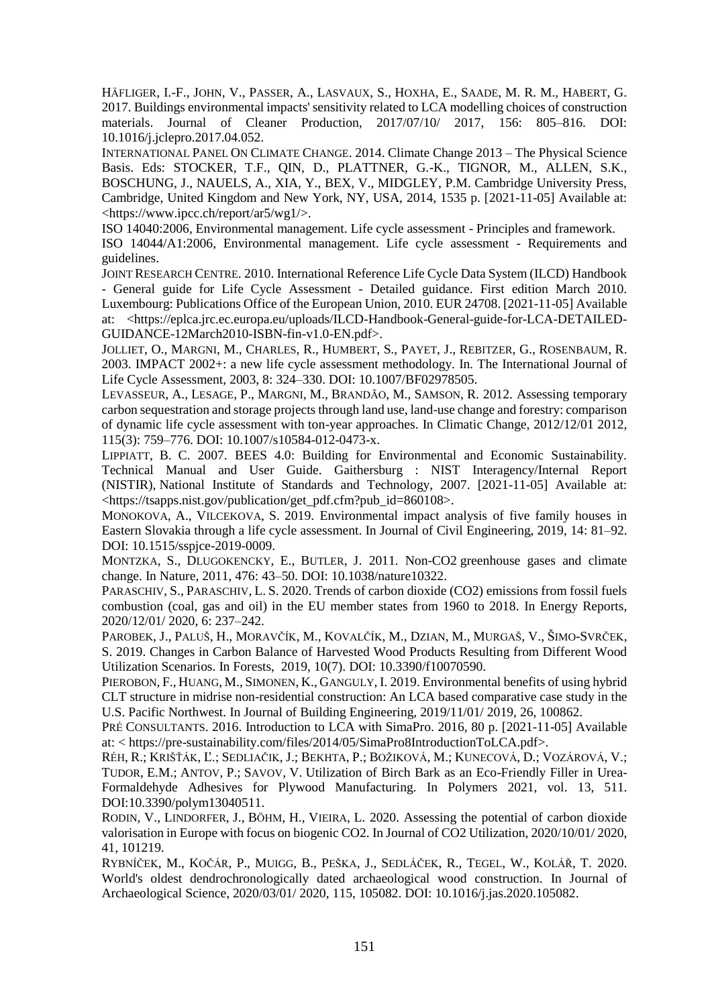HÄFLIGER, I.-F., JOHN, V., PASSER, A., LASVAUX, S., HOXHA, E., SAADE, M. R. M., HABERT, G. 2017. Buildings environmental impacts' sensitivity related to LCA modelling choices of construction materials. Journal of Cleaner Production, 2017/07/10/ 2017, 156: 805–816. DOI: 10.1016/j.jclepro.2017.04.052.

INTERNATIONAL PANEL ON CLIMATE CHANGE. 2014. Climate Change 2013 – The Physical Science Basis. Eds: STOCKER, T.F., QIN, D., PLATTNER, G.-K., TIGNOR, M., ALLEN, S.K., BOSCHUNG, J., NAUELS, A., XIA, Y., BEX, V., MIDGLEY, P.M. Cambridge University Press, Cambridge, United Kingdom and New York, NY, USA, 2014, 1535 p. [2021-11-05] Available at: <https://www.ipcc.ch/report/ar5/wg1/>.

ISO 14040:2006, Environmental management. Life cycle assessment - Principles and framework. ISO 14044/A1:2006, Environmental management. Life cycle assessment - Requirements and guidelines.

JOINT RESEARCH CENTRE. 2010. International Reference Life Cycle Data System (ILCD) Handbook - General guide for Life Cycle Assessment - Detailed guidance. First edition March 2010. Luxembourg: Publications Office of the European Union, 2010. EUR 24708. [2021-11-05] Available at: <https://eplca.jrc.ec.europa.eu/uploads/ILCD-Handbook-General-guide-for-LCA-DETAILED-GUIDANCE-12March2010-ISBN-fin-v1.0-EN.pdf>.

JOLLIET, O., MARGNI, M., CHARLES, R., HUMBERT, S., PAYET, J., REBITZER, G., ROSENBAUM, R. 2003. IMPACT 2002+: a new life cycle assessment methodology. In*.* The International Journal of Life Cycle Assessment, 2003, 8: 324–330. DOI: 10.1007/BF02978505.

LEVASSEUR, A., LESAGE, P., MARGNI, M., BRANDÃO, M., SAMSON, R. 2012. Assessing temporary carbon sequestration and storage projects through land use, land-use change and forestry: comparison of dynamic life cycle assessment with ton-year approaches. In Climatic Change, 2012/12/01 2012, 115(3): 759–776. DOI: 10.1007/s10584-012-0473-x.

LIPPIATT, B. C. 2007. BEES 4.0: Building for Environmental and Economic Sustainability. Technical Manual and User Guide. Gaithersburg : NIST Interagency/Internal Report (NISTIR), National Institute of Standards and Technology, 2007. [2021-11-05] Available at: <https://tsapps.nist.gov/publication/get\_pdf.cfm?pub\_id=860108>.

MONOKOVA, A., VILCEKOVA, S. 2019. Environmental impact analysis of five family houses in Eastern Slovakia through a life cycle assessment. In Journal of Civil Engineering, 2019, 14: 81–92. DOI: 10.1515/sspjce-2019-0009.

MONTZKA, S., DLUGOKENCKY, E., BUTLER, J. 2011. Non-CO2 greenhouse gases and climate change. In Nature, 2011, 476: 43–50. DOI: 10.1038/nature10322.

PARASCHIV, S., PARASCHIV, L. S. 2020. Trends of carbon dioxide (CO2) emissions from fossil fuels combustion (coal, gas and oil) in the EU member states from 1960 to 2018. In Energy Reports, 2020/12/01/ 2020, 6: 237–242.

PAROBEK, J., PALUŠ, H., MORAVČÍK, M., KOVALČÍK, M., DZIAN, M., MURGAŠ, V., ŠIMO-SVRČEK, S. 2019. Changes in Carbon Balance of Harvested Wood Products Resulting from Different Wood Utilization Scenarios. In Forests, 2019, 10(7). DOI: 10.3390/f10070590.

PIEROBON, F., HUANG, M., SIMONEN, K., GANGULY, I. 2019. Environmental benefits of using hybrid CLT structure in midrise non-residential construction: An LCA based comparative case study in the U.S. Pacific Northwest. In Journal of Building Engineering, 2019/11/01/ 2019, 26, 100862.

PRÉ CONSULTANTS. 2016. Introduction to LCA with SimaPro. 2016, 80 p. [2021-11-05] Available at: < https://pre-sustainability.com/files/2014/05/SimaPro8IntroductionToLCA.pdf>.

RÉH, R.; KRIŠŤÁK, Ľ.; SEDLIAČIK, J.; BEKHTA, P.; BOŽIKOVÁ, M.; KUNECOVÁ, D.; VOZÁROVÁ, V.; TUDOR, E.M.; ANTOV, P.; SAVOV, V. Utilization of Birch Bark as an Eco-Friendly Filler in Urea-Formaldehyde Adhesives for Plywood Manufacturing. In Polymers 2021, vol. 13, 511. DOI:10.3390/polym13040511.

RODIN, V., LINDORFER, J., BÖHM, H., VIEIRA, L. 2020. Assessing the potential of carbon dioxide valorisation in Europe with focus on biogenic CO2. In Journal of CO2 Utilization, 2020/10/01/ 2020, 41, 101219.

RYBNÍČEK, M., KOČÁR, P., MUIGG, B., PEŠKA, J., SEDLÁČEK, R., TEGEL, W., KOLÁŘ, T. 2020. World's oldest dendrochronologically dated archaeological wood construction. In Journal of Archaeological Science, 2020/03/01/ 2020, 115, 105082. DOI: 10.1016/j.jas.2020.105082.